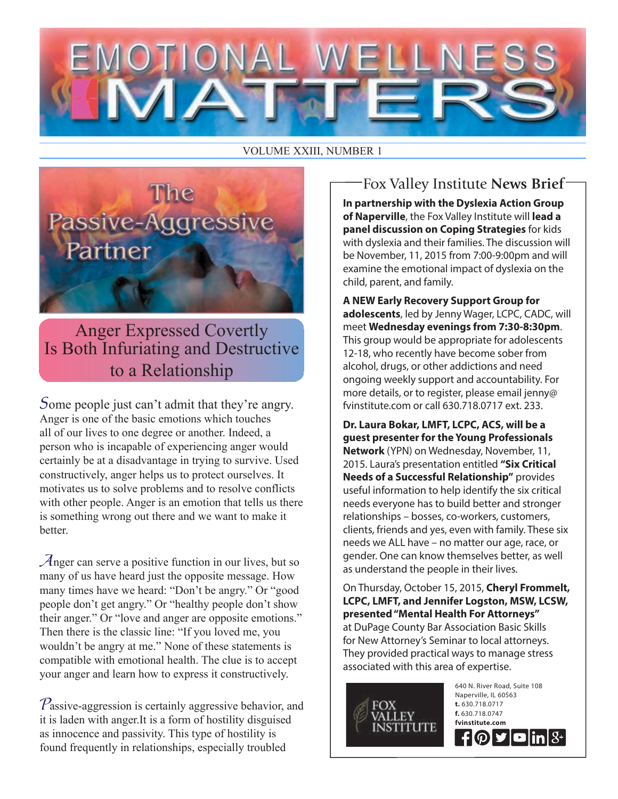## DIIONAL

VOLUME XXIII, NUMBER 1



Anger Expressed Covertly Is Both Infuriating and Destructive to a Relationship

Some people just can't admit that they're angry. Anger is one of the basic emotions which touches all of our lives to one degree or another. Indeed, a person who is incapable of experiencing anger would certainly be at a disadvantage in trying to survive. Used constructively, anger helps us to protect ourselves. It motivates us to solve problems and to resolve conflicts with other people. Anger is an emotion that tells us there is something wrong out there and we want to make it **better** 

Anger can serve a positive function in our lives, but so many of us have heard just the opposite message. How many times have we heard: "Don't be angry." Or "good people don't get angry." Or "healthy people don't show their anger." Or "love and anger are opposite emotions." Then there is the classic line: "If you loved me, you wouldn't be angry at me." None of these statements is compatible with emotional health. The clue is to accept your anger and learn how to express it constructively.

 $P$ assive-aggression is certainly aggressive behavior, and it is laden with anger.It is a form of hostility disguised as innocence and passivity. This type of hostility is found frequently in relationships, especially troubled

**In partnership with the Dyslexia Action Group of Naperville**, the Fox Valley Institute will **lead a panel discussion on Coping Strategies** for kids with dyslexia and their families. The discussion will be November, 11, 2015 from 7:00-9:00pm and will examine the emotional impact of dyslexia on the child, parent, and family. Fox Valley Institute **News Brief**

**A NEW Early Recovery Support Group for adolescents**, led by Jenny Wager, LCPC, CADC, will meet **Wednesday evenings from 7:30-8:30pm**. This group would be appropriate for adolescents 12-18, who recently have become sober from alcohol, drugs, or other addictions and need ongoing weekly support and accountability. For more details, or to register, please email jenny@ fvinstitute.com or call 630.718.0717 ext. 233.

**Dr. Laura Bokar, LMFT, LCPC, ACS, will be a guest presenter for the Young Professionals Network** (YPN) on Wednesday, November, 11, 2015. Laura's presentation entitled **"Six Critical Needs of a Successful Relationship"** provides useful information to help identify the six critical needs everyone has to build better and stronger relationships – bosses, co-workers, customers, clients, friends and yes, even with family. These six needs we ALL have – no matter our age, race, or gender. One can know themselves better, as well as understand the people in their lives.

On Thursday, October 15, 2015, **Cheryl Frommelt, LCPC, LMFT, and Jennifer Logston, MSW, LCSW, presented "Mental Health For Attorneys"** at DuPage County Bar Association Basic Skills for New Attorney's Seminar to local attorneys. They provided practical ways to manage stress associated with this area of expertise.

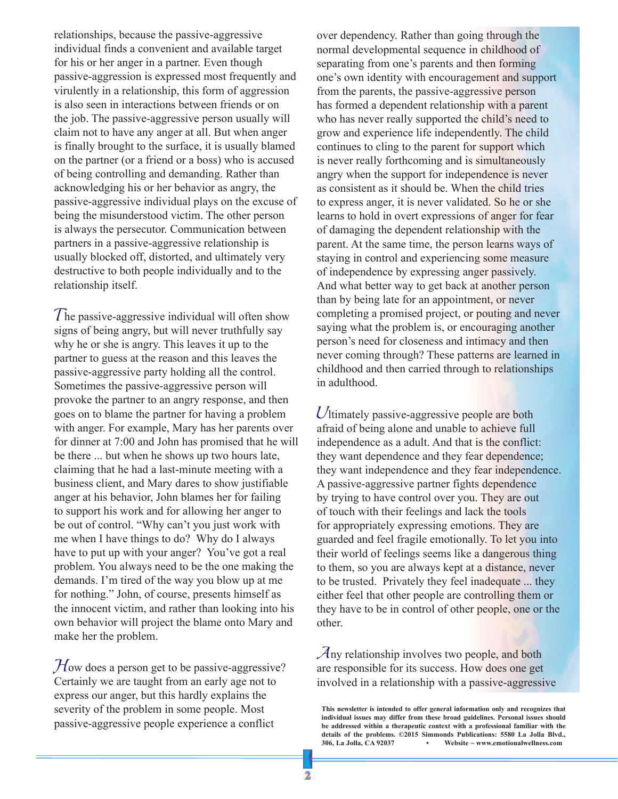relationships, because the passive-aggressive individual finds a convenient and available target for his or her anger in a partner. Even though passive-aggression is expressed most frequently and virulently in a relationship, this form of aggression is also seen in interactions between friends or on the job. The passive-aggressive person usually will claim not to have any anger at all. But when anger is finally brought to the surface, it is usually blamed on the partner (or a friend or a boss) who is accused of being controlling and demanding. Rather than acknowledging his or her behavior as angry, the passive-aggressive individual plays on the excuse of being the misunderstood victim. The other person is always the persecutor. Communication between partners in a passive-aggressive relationship is usually blocked off, distorted, and ultimately very destructive to both people individually and to the relationship itself.

The passive-aggressive individual will often show signs of being angry, but will never truthfully say why he or she is angry. This leaves it up to the partner to guess at the reason and this leaves the passive-aggressive party holding all the control. Sometimes the passive-aggressive person will provoke the partner to an angry response, and then goes on to blame the partner for having a problem with anger. For example, Mary has her parents over for dinner at 7:00 and John has promised that he will be there ... but when he shows up two hours late, claiming that he had a last-minute meeting with a business client, and Mary dares to show justifiable anger at his behavior, John blames her for failing to support his work and for allowing her anger to be out of control. "Why can't you just work with me when I have things to do? Why do I always have to put up with your anger? You've got a real problem. You always need to be the one making the demands. I'm tired of the way you blow up at me for nothing." John, of course, presents himself as the innocent victim, and rather than looking into his own behavior will project the blame onto Mary and make her the problem.

 $\mathcal{H}$ ow does a person get to be passive-aggressive? Certainly we are taught from an early age not to express our anger, but this hardly explains the severity of the problem in some people. Most passive-aggressive people experience a conflict

over dependency. Rather than going through the normal developmental sequence in childhood of separating from one's parents and then forming one's own identity with encouragement and support from the parents, the passive-aggressive person has formed a dependent relationship with a parent who has never really supported the child's need to grow and experience life independently. The child continues to cling to the parent for support which is never really forthcoming and is simultaneously angry when the support for independence is never as consistent as it should be. When the child tries to express anger, it is never validated. So he or she learns to hold in overt expressions of anger for fear of damaging the dependent relationship with the parent. At the same time, the person learns ways of staying in control and experiencing some measure of independence by expressing anger passively. And what better way to get back at another person than by being late for an appointment, or never completing a promised project, or pouting and never saying what the problem is, or encouraging another person's need for closeness and intimacy and then never coming through? These patterns are learned in childhood and then carried through to relationships in adulthood.

Ultimately passive-aggressive people are both afraid of being alone and unable to achieve full independence as a adult. And that is the conflict: they want dependence and they fear dependence; they want independence and they fear independence. A passive-aggressive partner fights dependence by trying to have control over you. They are out of touch with their feelings and lack the tools for appropriately expressing emotions. They are guarded and feel fragile emotionally. To let you into their world of feelings seems like a dangerous thing to them, so you are always kept at a distance, never to be trusted. Privately they feel inadequate ... they either feel that other people are controlling them or they have to be in control of other people, one or the other.

Any relationship involves two people, and both are responsible for its success. How does one get involved in a relationship with a passive-aggressive

**This newsletter is intended to offer general information only and recognizes that individual issues may differ from these broad guidelines. Personal issues should be addressed within a therapeutic context with a professional familiar with the**  details of the problems. ©2015 Simmonds Publications: 5580 La Jolla Blvd., 306, La Jolla, CA 92037 **·** Website ~ www.emotionalwellness.com **306, La Jolla, CA 92037 • Website ~ www.emotionalwellness.com**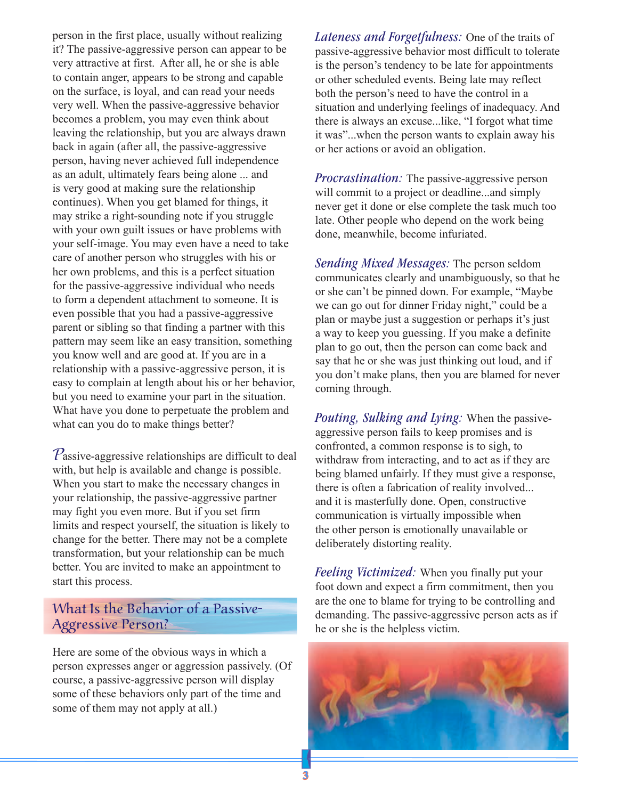person in the first place, usually without realizing it? The passive-aggressive person can appear to be very attractive at first. After all, he or she is able to contain anger, appears to be strong and capable on the surface, is loyal, and can read your needs very well. When the passive-aggressive behavior becomes a problem, you may even think about leaving the relationship, but you are always drawn back in again (after all, the passive-aggressive person, having never achieved full independence as an adult, ultimately fears being alone ... and is very good at making sure the relationship continues). When you get blamed for things, it may strike a right-sounding note if you struggle with your own guilt issues or have problems with your self-image. You may even have a need to take care of another person who struggles with his or her own problems, and this is a perfect situation for the passive-aggressive individual who needs to form a dependent attachment to someone. It is even possible that you had a passive-aggressive parent or sibling so that finding a partner with this pattern may seem like an easy transition, something you know well and are good at. If you are in a relationship with a passive-aggressive person, it is easy to complain at length about his or her behavior, but you need to examine your part in the situation. What have you done to perpetuate the problem and what can you do to make things better?

 $P$ assive-aggressive relationships are difficult to deal with, but help is available and change is possible. When you start to make the necessary changes in your relationship, the passive-aggressive partner may fight you even more. But if you set firm limits and respect yourself, the situation is likely to change for the better. There may not be a complete transformation, but your relationship can be much better. You are invited to make an appointment to start this process.

## What Is the Behavior of a Passive-Aggressive Person?

Here are some of the obvious ways in which a person expresses anger or aggression passively. (Of course, a passive-aggressive person will display some of these behaviors only part of the time and some of them may not apply at all.)

*Lateness and Forgetfulness:* One of the traits of passive-aggressive behavior most difficult to tolerate is the person's tendency to be late for appointments or other scheduled events. Being late may reflect both the person's need to have the control in a situation and underlying feelings of inadequacy. And there is always an excuse...like, "I forgot what time it was"...when the person wants to explain away his or her actions or avoid an obligation.

*Procrastination:* The passive-aggressive person will commit to a project or deadline...and simply never get it done or else complete the task much too late. Other people who depend on the work being done, meanwhile, become infuriated.

*Sending Mixed Messages:* The person seldom communicates clearly and unambiguously, so that he or she can't be pinned down. For example, "Maybe we can go out for dinner Friday night," could be a plan or maybe just a suggestion or perhaps it's just a way to keep you guessing. If you make a definite plan to go out, then the person can come back and say that he or she was just thinking out loud, and if you don't make plans, then you are blamed for never coming through.

*Pouting, Sulking and Lying:* When the passiveaggressive person fails to keep promises and is confronted, a common response is to sigh, to withdraw from interacting, and to act as if they are being blamed unfairly. If they must give a response, there is often a fabrication of reality involved... and it is masterfully done. Open, constructive communication is virtually impossible when the other person is emotionally unavailable or deliberately distorting reality.

*Feeling Victimized:* When you finally put your foot down and expect a firm commitment, then you are the one to blame for trying to be controlling and demanding. The passive-aggressive person acts as if he or she is the helpless victim.